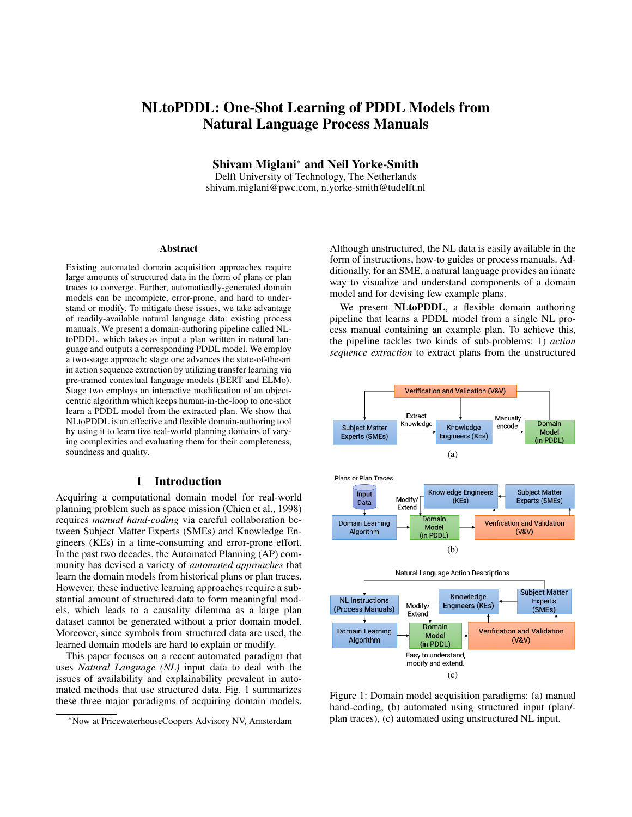# NLtoPDDL: One-Shot Learning of PDDL Models from Natural Language Process Manuals

Shivam Miglani<sup>∗</sup> and Neil Yorke-Smith

Delft University of Technology, The Netherlands shivam.miglani@pwc.com, n.yorke-smith@tudelft.nl

#### Abstract

Existing automated domain acquisition approaches require large amounts of structured data in the form of plans or plan traces to converge. Further, automatically-generated domain models can be incomplete, error-prone, and hard to understand or modify. To mitigate these issues, we take advantage of readily-available natural language data: existing process manuals. We present a domain-authoring pipeline called NLtoPDDL, which takes as input a plan written in natural language and outputs a corresponding PDDL model. We employ a two-stage approach: stage one advances the state-of-the-art in action sequence extraction by utilizing transfer learning via pre-trained contextual language models (BERT and ELMo). Stage two employs an interactive modification of an objectcentric algorithm which keeps human-in-the-loop to one-shot learn a PDDL model from the extracted plan. We show that NLtoPDDL is an effective and flexible domain-authoring tool by using it to learn five real-world planning domains of varying complexities and evaluating them for their completeness, soundness and quality.

#### 1 Introduction

Acquiring a computational domain model for real-world planning problem such as space mission (Chien et al., 1998) requires *manual hand-coding* via careful collaboration between Subject Matter Experts (SMEs) and Knowledge Engineers (KEs) in a time-consuming and error-prone effort. In the past two decades, the Automated Planning (AP) community has devised a variety of *automated approaches* that learn the domain models from historical plans or plan traces. However, these inductive learning approaches require a substantial amount of structured data to form meaningful models, which leads to a causality dilemma as a large plan dataset cannot be generated without a prior domain model. Moreover, since symbols from structured data are used, the learned domain models are hard to explain or modify.

This paper focuses on a recent automated paradigm that uses *Natural Language (NL)* input data to deal with the issues of availability and explainability prevalent in automated methods that use structured data. Fig. 1 summarizes these three major paradigms of acquiring domain models.

Although unstructured, the NL data is easily available in the form of instructions, how-to guides or process manuals. Additionally, for an SME, a natural language provides an innate way to visualize and understand components of a domain model and for devising few example plans.

We present NLtoPDDL, a flexible domain authoring pipeline that learns a PDDL model from a single NL process manual containing an example plan. To achieve this, the pipeline tackles two kinds of sub-problems: 1) *action sequence extraction* to extract plans from the unstructured



Figure 1: Domain model acquisition paradigms: (a) manual hand-coding, (b) automated using structured input (plan/ plan traces), (c) automated using unstructured NL input.

<sup>∗</sup>Now at PricewaterhouseCoopers Advisory NV, Amsterdam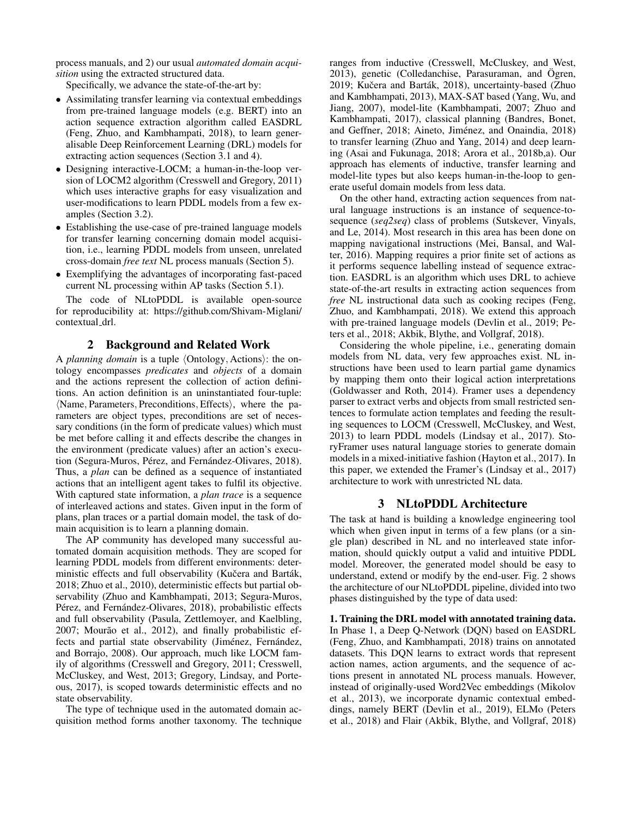process manuals, and 2) our usual *automated domain acquisition* using the extracted structured data.

Specifically, we advance the state-of-the-art by:

- Assimilating transfer learning via contextual embeddings from pre-trained language models (e.g. BERT) into an action sequence extraction algorithm called EASDRL (Feng, Zhuo, and Kambhampati, 2018), to learn generalisable Deep Reinforcement Learning (DRL) models for extracting action sequences (Section 3.1 and 4).
- Designing interactive-LOCM; a human-in-the-loop version of LOCM2 algorithm (Cresswell and Gregory, 2011) which uses interactive graphs for easy visualization and user-modifications to learn PDDL models from a few examples (Section 3.2).
- Establishing the use-case of pre-trained language models for transfer learning concerning domain model acquisition, i.e., learning PDDL models from unseen, unrelated cross-domain *free text* NL process manuals (Section 5).
- Exemplifying the advantages of incorporating fast-paced current NL processing within AP tasks (Section 5.1).

The code of NLtoPDDL is available open-source for reproducibility at: https://github.com/Shivam-Miglani/ contextual drl.

#### 2 Background and Related Work

A *planning domain* is a tuple  $\langle$ Ontology, Actions $\rangle$ : the ontology encompasses *predicates* and *objects* of a domain and the actions represent the collection of action definitions. An action definition is an uninstantiated four-tuple:  $\langle$ Name, Parameters, Preconditions, Effects $\rangle$ , where the parameters are object types, preconditions are set of necessary conditions (in the form of predicate values) which must be met before calling it and effects describe the changes in the environment (predicate values) after an action's execution (Segura-Muros, Pérez, and Fernández-Olivares, 2018). Thus, a *plan* can be defined as a sequence of instantiated actions that an intelligent agent takes to fulfil its objective. With captured state information, a *plan trace* is a sequence of interleaved actions and states. Given input in the form of plans, plan traces or a partial domain model, the task of domain acquisition is to learn a planning domain.

The AP community has developed many successful automated domain acquisition methods. They are scoped for learning PDDL models from different environments: deterministic effects and full observability (Kučera and Barták, 2018; Zhuo et al., 2010), deterministic effects but partial observability (Zhuo and Kambhampati, 2013; Segura-Muros, Pérez, and Fernández-Olivares, 2018), probabilistic effects and full observability (Pasula, Zettlemoyer, and Kaelbling, 2007; Mourão et al., 2012), and finally probabilistic effects and partial state observability (Jiménez, Fernández, and Borrajo, 2008). Our approach, much like LOCM family of algorithms (Cresswell and Gregory, 2011; Cresswell, McCluskey, and West, 2013; Gregory, Lindsay, and Porteous, 2017), is scoped towards deterministic effects and no state observability.

The type of technique used in the automated domain acquisition method forms another taxonomy. The technique ranges from inductive (Cresswell, McCluskey, and West,  $2013$ ), genetic (Colledanchise, Parasuraman, and Ögren, 2019; Kučera and Barták, 2018), uncertainty-based (Zhuo and Kambhampati, 2013), MAX-SAT based (Yang, Wu, and Jiang, 2007), model-lite (Kambhampati, 2007; Zhuo and Kambhampati, 2017), classical planning (Bandres, Bonet, and Geffner, 2018; Aineto, Jiménez, and Onaindia, 2018) to transfer learning (Zhuo and Yang, 2014) and deep learning (Asai and Fukunaga, 2018; Arora et al., 2018b,a). Our approach has elements of inductive, transfer learning and model-lite types but also keeps human-in-the-loop to generate useful domain models from less data.

On the other hand, extracting action sequences from natural language instructions is an instance of sequence-tosequence (*seq2seq*) class of problems (Sutskever, Vinyals, and Le, 2014). Most research in this area has been done on mapping navigational instructions (Mei, Bansal, and Walter, 2016). Mapping requires a prior finite set of actions as it performs sequence labelling instead of sequence extraction. EASDRL is an algorithm which uses DRL to achieve state-of-the-art results in extracting action sequences from *free* NL instructional data such as cooking recipes (Feng, Zhuo, and Kambhampati, 2018). We extend this approach with pre-trained language models (Devlin et al., 2019; Peters et al., 2018; Akbik, Blythe, and Vollgraf, 2018).

Considering the whole pipeline, i.e., generating domain models from NL data, very few approaches exist. NL instructions have been used to learn partial game dynamics by mapping them onto their logical action interpretations (Goldwasser and Roth, 2014). Framer uses a dependency parser to extract verbs and objects from small restricted sentences to formulate action templates and feeding the resulting sequences to LOCM (Cresswell, McCluskey, and West, 2013) to learn PDDL models (Lindsay et al., 2017). StoryFramer uses natural language stories to generate domain models in a mixed-initiative fashion (Hayton et al., 2017). In this paper, we extended the Framer's (Lindsay et al., 2017) architecture to work with unrestricted NL data.

#### 3 NLtoPDDL Architecture

The task at hand is building a knowledge engineering tool which when given input in terms of a few plans (or a single plan) described in NL and no interleaved state information, should quickly output a valid and intuitive PDDL model. Moreover, the generated model should be easy to understand, extend or modify by the end-user. Fig. 2 shows the architecture of our NLtoPDDL pipeline, divided into two phases distinguished by the type of data used:

1. Training the DRL model with annotated training data. In Phase 1, a Deep Q-Network (DQN) based on EASDRL (Feng, Zhuo, and Kambhampati, 2018) trains on annotated datasets. This DQN learns to extract words that represent action names, action arguments, and the sequence of actions present in annotated NL process manuals. However, instead of originally-used Word2Vec embeddings (Mikolov et al., 2013), we incorporate dynamic contextual embeddings, namely BERT (Devlin et al., 2019), ELMo (Peters et al., 2018) and Flair (Akbik, Blythe, and Vollgraf, 2018)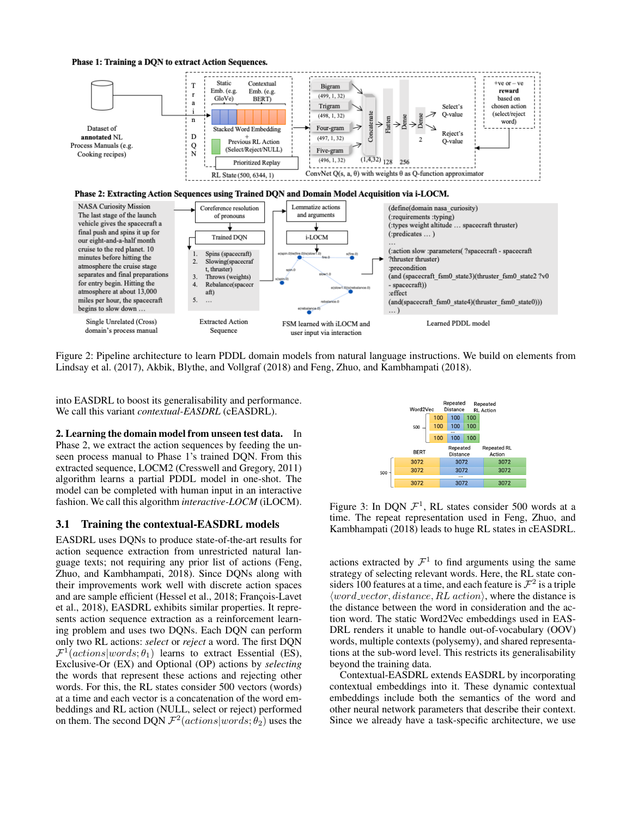#### Phase 1: Training a DQN to extract Action Sequences.





Figure 2: Pipeline architecture to learn PDDL domain models from natural language instructions. We build on elements from Lindsay et al. (2017), Akbik, Blythe, and Vollgraf (2018) and Feng, Zhuo, and Kambhampati (2018).

into EASDRL to boost its generalisability and performance. We call this variant *contextual-EASDRL* (cEASDRL).

2. Learning the domain model from unseen test data. In Phase 2, we extract the action sequences by feeding the unseen process manual to Phase 1's trained DQN. From this extracted sequence, LOCM2 (Cresswell and Gregory, 2011) algorithm learns a partial PDDL model in one-shot. The model can be completed with human input in an interactive fashion. We call this algorithm *interactive-LOCM* (iLOCM).

#### 3.1 Training the contextual-EASDRL models

EASDRL uses DQNs to produce state-of-the-art results for action sequence extraction from unrestricted natural language texts; not requiring any prior list of actions (Feng, Zhuo, and Kambhampati, 2018). Since DQNs along with their improvements work well with discrete action spaces and are sample efficient (Hessel et al., 2018; François-Lavet et al., 2018), EASDRL exhibits similar properties. It represents action sequence extraction as a reinforcement learning problem and uses two DQNs. Each DQN can perform only two RL actions: *select* or *reject* a word. The first DQN  $\mathcal{F}^1(actions|words; \theta_1)$  learns to extract Essential (ES), Exclusive-Or (EX) and Optional (OP) actions by *selecting* the words that represent these actions and rejecting other words. For this, the RL states consider 500 vectors (words) at a time and each vector is a concatenation of the word embeddings and RL action (NULL, select or reject) performed on them. The second DQN  $\mathcal{F}^2(actions|words; \theta_2)$  uses the



Figure 3: In DQN  $\mathcal{F}^1$ , RL states consider 500 words at a time. The repeat representation used in Feng, Zhuo, and Kambhampati (2018) leads to huge RL states in cEASDRL.

actions extracted by  $\mathcal{F}^1$  to find arguments using the same strategy of selecting relevant words. Here, the RL state considers 100 features at a time, and each feature is  $\mathcal{F}^2$  is a triple  $\langle word\_vector, distance, RL\, action \rangle$ , where the distance is the distance between the word in consideration and the action word. The static Word2Vec embeddings used in EAS-DRL renders it unable to handle out-of-vocabulary (OOV) words, multiple contexts (polysemy), and shared representations at the sub-word level. This restricts its generalisability beyond the training data.

Contextual-EASDRL extends EASDRL by incorporating contextual embeddings into it. These dynamic contextual embeddings include both the semantics of the word and other neural network parameters that describe their context. Since we already have a task-specific architecture, we use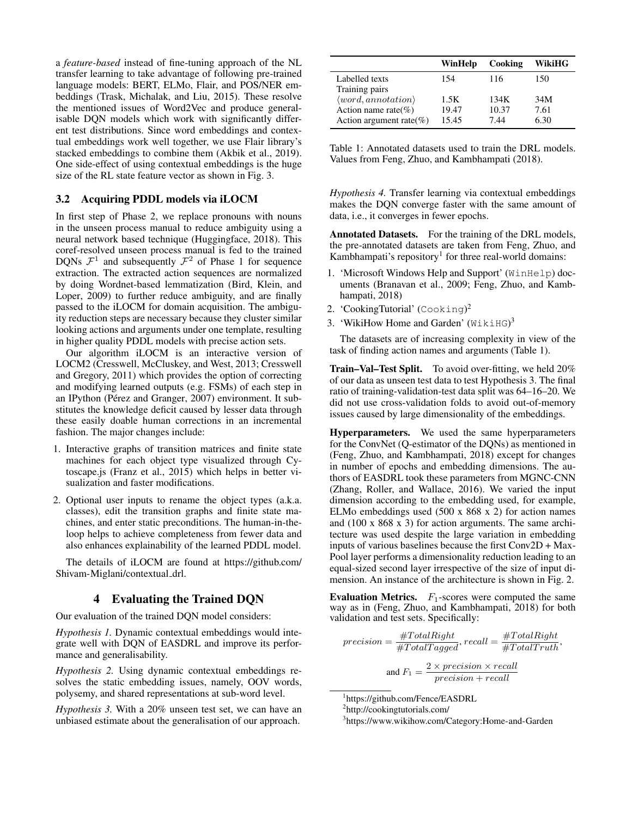a *feature-based* instead of fine-tuning approach of the NL transfer learning to take advantage of following pre-trained language models: BERT, ELMo, Flair, and POS/NER embeddings (Trask, Michalak, and Liu, 2015). These resolve the mentioned issues of Word2Vec and produce generalisable DQN models which work with significantly different test distributions. Since word embeddings and contextual embeddings work well together, we use Flair library's stacked embeddings to combine them (Akbik et al., 2019). One side-effect of using contextual embeddings is the huge size of the RL state feature vector as shown in Fig. 3.

#### 3.2 Acquiring PDDL models via iLOCM

In first step of Phase 2, we replace pronouns with nouns in the unseen process manual to reduce ambiguity using a neural network based technique (Huggingface, 2018). This coref-resolved unseen process manual is fed to the trained DQNs  $\mathcal{F}^1$  and subsequently  $\mathcal{F}^2$  of Phase 1 for sequence extraction. The extracted action sequences are normalized by doing Wordnet-based lemmatization (Bird, Klein, and Loper, 2009) to further reduce ambiguity, and are finally passed to the iLOCM for domain acquisition. The ambiguity reduction steps are necessary because they cluster similar looking actions and arguments under one template, resulting in higher quality PDDL models with precise action sets.

Our algorithm iLOCM is an interactive version of LOCM2 (Cresswell, McCluskey, and West, 2013; Cresswell and Gregory, 2011) which provides the option of correcting and modifying learned outputs (e.g. FSMs) of each step in an IPython (Pérez and Granger, 2007) environment. It substitutes the knowledge deficit caused by lesser data through these easily doable human corrections in an incremental fashion. The major changes include:

- 1. Interactive graphs of transition matrices and finite state machines for each object type visualized through Cytoscape.js (Franz et al., 2015) which helps in better visualization and faster modifications.
- 2. Optional user inputs to rename the object types (a.k.a. classes), edit the transition graphs and finite state machines, and enter static preconditions. The human-in-theloop helps to achieve completeness from fewer data and also enhances explainability of the learned PDDL model.

The details of iLOCM are found at https://github.com/ Shivam-Miglani/contextual drl.

#### 4 Evaluating the Trained DQN

Our evaluation of the trained DQN model considers:

*Hypothesis 1.* Dynamic contextual embeddings would integrate well with DQN of EASDRL and improve its performance and generalisability.

*Hypothesis 2.* Using dynamic contextual embeddings resolves the static embedding issues, namely, OOV words, polysemy, and shared representations at sub-word level.

*Hypothesis 3.* With a 20% unseen test set, we can have an unbiased estimate about the generalisation of our approach.

|                                    | WinHelp | Cooking | WikiHG |
|------------------------------------|---------|---------|--------|
| Labelled texts                     | 154     | 116     | 150    |
| Training pairs                     |         |         |        |
| $\langle word, annotation \rangle$ | 1.5K    | 134K    | 34M    |
| Action name rate(%)                | 19.47   | 10.37   | 7.61   |
| Action argument rate(%)            | 15.45   | 7.44    | 6.30   |

Table 1: Annotated datasets used to train the DRL models. Values from Feng, Zhuo, and Kambhampati (2018).

*Hypothesis 4.* Transfer learning via contextual embeddings makes the DQN converge faster with the same amount of data, i.e., it converges in fewer epochs.

Annotated Datasets. For the training of the DRL models, the pre-annotated datasets are taken from Feng, Zhuo, and Kambhampati's repository<sup>1</sup> for three real-world domains:

- 1. 'Microsoft Windows Help and Support' (WinHelp) documents (Branavan et al., 2009; Feng, Zhuo, and Kambhampati, 2018)
- 2. 'CookingTutorial' (Cooking) 2
- 3. 'WikiHow Home and Garden' (WikiHG)<sup>3</sup>

The datasets are of increasing complexity in view of the task of finding action names and arguments (Table 1).

Train–Val–Test Split. To avoid over-fitting, we held 20% of our data as unseen test data to test Hypothesis 3. The final ratio of training-validation-test data split was 64–16–20. We did not use cross-validation folds to avoid out-of-memory issues caused by large dimensionality of the embeddings.

Hyperparameters. We used the same hyperparameters for the ConvNet (Q-estimator of the DQNs) as mentioned in (Feng, Zhuo, and Kambhampati, 2018) except for changes in number of epochs and embedding dimensions. The authors of EASDRL took these parameters from MGNC-CNN (Zhang, Roller, and Wallace, 2016). We varied the input dimension according to the embedding used, for example, ELMo embeddings used (500 x 868 x 2) for action names and (100 x 868 x 3) for action arguments. The same architecture was used despite the large variation in embedding inputs of various baselines because the first Conv2D + Max-Pool layer performs a dimensionality reduction leading to an equal-sized second layer irrespective of the size of input dimension. An instance of the architecture is shown in Fig. 2.

Evaluation Metrics.  $F_1$ -scores were computed the same way as in (Feng, Zhuo, and Kambhampati, 2018) for both validation and test sets. Specifically:

$$
precision = \frac{\#TotalRight}{\#TotalTagged}, recall = \frac{\#TotalRight}{\#TotalTruth},
$$

$$
and F_1 = \frac{2 \times precision \times recall}{precision + recall}
$$

1 https://github.com/Fence/EASDRL

3 https://www.wikihow.com/Category:Home-and-Garden

<sup>2</sup> http://cookingtutorials.com/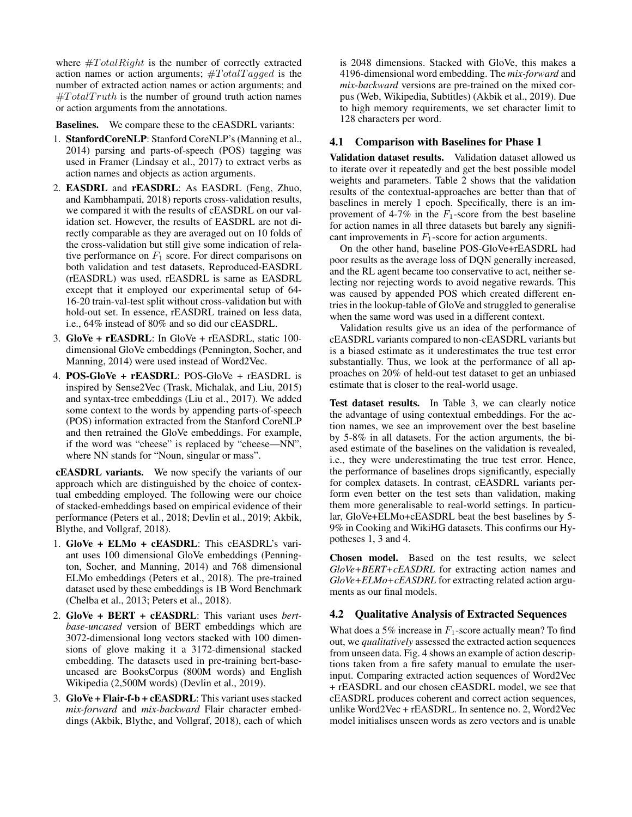where  $\#TotalRight$  is the number of correctly extracted action names or action arguments;  $\#TotalTagged$  is the number of extracted action names or action arguments; and  $\#Total Truth$  is the number of ground truth action names or action arguments from the annotations.

Baselines. We compare these to the cEASDRL variants:

- 1. StanfordCoreNLP: Stanford CoreNLP's (Manning et al., 2014) parsing and parts-of-speech (POS) tagging was used in Framer (Lindsay et al., 2017) to extract verbs as action names and objects as action arguments.
- 2. EASDRL and rEASDRL: As EASDRL (Feng, Zhuo, and Kambhampati, 2018) reports cross-validation results, we compared it with the results of cEASDRL on our validation set. However, the results of EASDRL are not directly comparable as they are averaged out on 10 folds of the cross-validation but still give some indication of relative performance on  $F_1$  score. For direct comparisons on both validation and test datasets, Reproduced-EASDRL (rEASDRL) was used. rEASDRL is same as EASDRL except that it employed our experimental setup of 64- 16-20 train-val-test split without cross-validation but with hold-out set. In essence, rEASDRL trained on less data, i.e., 64% instead of 80% and so did our cEASDRL.
- 3. GloVe + rEASDRL: In GloVe + rEASDRL, static 100 dimensional GloVe embeddings (Pennington, Socher, and Manning, 2014) were used instead of Word2Vec.
- 4. POS-GloVe + rEASDRL: POS-GloVe + rEASDRL is inspired by Sense2Vec (Trask, Michalak, and Liu, 2015) and syntax-tree embeddings (Liu et al., 2017). We added some context to the words by appending parts-of-speech (POS) information extracted from the Stanford CoreNLP and then retrained the GloVe embeddings. For example, if the word was "cheese" is replaced by "cheese—NN", where NN stands for "Noun, singular or mass".

cEASDRL variants. We now specify the variants of our approach which are distinguished by the choice of contextual embedding employed. The following were our choice of stacked-embeddings based on empirical evidence of their performance (Peters et al., 2018; Devlin et al., 2019; Akbik, Blythe, and Vollgraf, 2018).

- 1. GloVe + ELMo + cEASDRL: This cEASDRL's variant uses 100 dimensional GloVe embeddings (Pennington, Socher, and Manning, 2014) and 768 dimensional ELMo embeddings (Peters et al., 2018). The pre-trained dataset used by these embeddings is 1B Word Benchmark (Chelba et al., 2013; Peters et al., 2018).
- 2. GloVe + BERT + cEASDRL: This variant uses *bertbase-uncased* version of BERT embeddings which are 3072-dimensional long vectors stacked with 100 dimensions of glove making it a 3172-dimensional stacked embedding. The datasets used in pre-training bert-baseuncased are BooksCorpus (800M words) and English Wikipedia (2,500M words) (Devlin et al., 2019).
- 3. GloVe + Flair-f-b + cEASDRL: This variant uses stacked *mix-forward* and *mix-backward* Flair character embeddings (Akbik, Blythe, and Vollgraf, 2018), each of which

is 2048 dimensions. Stacked with GloVe, this makes a 4196-dimensional word embedding. The *mix-forward* and *mix-backward* versions are pre-trained on the mixed corpus (Web, Wikipedia, Subtitles) (Akbik et al., 2019). Due to high memory requirements, we set character limit to 128 characters per word.

## 4.1 Comparison with Baselines for Phase 1

Validation dataset results. Validation dataset allowed us to iterate over it repeatedly and get the best possible model weights and parameters. Table 2 shows that the validation results of the contextual-approaches are better than that of baselines in merely 1 epoch. Specifically, there is an improvement of 4-7% in the  $F_1$ -score from the best baseline for action names in all three datasets but barely any significant improvements in  $F_1$ -score for action arguments.

On the other hand, baseline POS-GloVe+rEASDRL had poor results as the average loss of DQN generally increased, and the RL agent became too conservative to act, neither selecting nor rejecting words to avoid negative rewards. This was caused by appended POS which created different entries in the lookup-table of GloVe and struggled to generalise when the same word was used in a different context.

Validation results give us an idea of the performance of cEASDRL variants compared to non-cEASDRL variants but is a biased estimate as it underestimates the true test error substantially. Thus, we look at the performance of all approaches on 20% of held-out test dataset to get an unbiased estimate that is closer to the real-world usage.

Test dataset results. In Table 3, we can clearly notice the advantage of using contextual embeddings. For the action names, we see an improvement over the best baseline by 5-8% in all datasets. For the action arguments, the biased estimate of the baselines on the validation is revealed, i.e., they were underestimating the true test error. Hence, the performance of baselines drops significantly, especially for complex datasets. In contrast, cEASDRL variants perform even better on the test sets than validation, making them more generalisable to real-world settings. In particular, GloVe+ELMo+cEASDRL beat the best baselines by 5- 9% in Cooking and WikiHG datasets. This confirms our Hypotheses 1, 3 and 4.

Chosen model. Based on the test results, we select *GloVe+BERT+cEASDRL* for extracting action names and *GloVe+ELMo+cEASDRL* for extracting related action arguments as our final models.

#### 4.2 Qualitative Analysis of Extracted Sequences

What does a 5% increase in  $F_1$ -score actually mean? To find out, we *qualitatively* assessed the extracted action sequences from unseen data. Fig. 4 shows an example of action descriptions taken from a fire safety manual to emulate the userinput. Comparing extracted action sequences of Word2Vec + rEASDRL and our chosen cEASDRL model, we see that cEASDRL produces coherent and correct action sequences, unlike Word2Vec + rEASDRL. In sentence no. 2, Word2Vec model initialises unseen words as zero vectors and is unable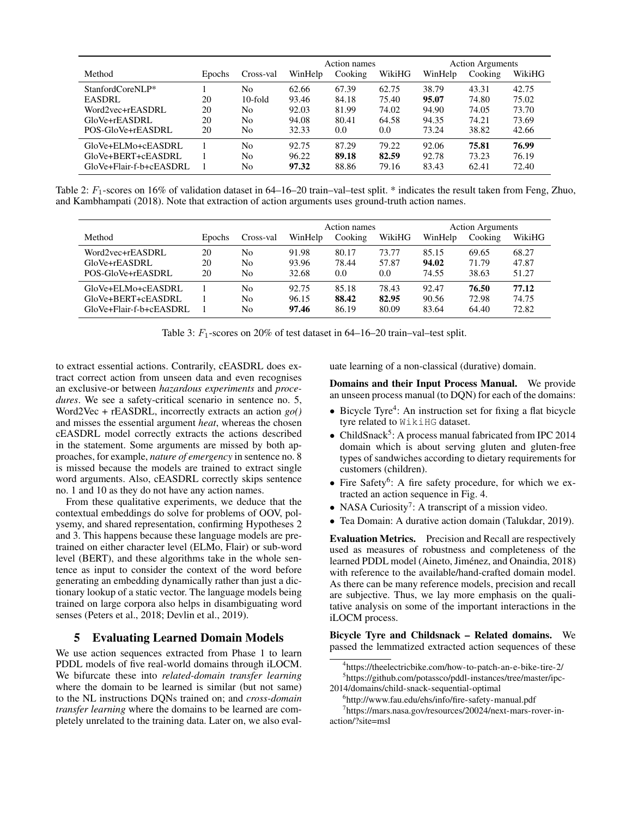|                         |        |            |         | Action names |         | <b>Action Arguments</b> |         |        |  |
|-------------------------|--------|------------|---------|--------------|---------|-------------------------|---------|--------|--|
| Method                  | Epochs | Cross-val  | WinHelp | Cooking      | WikiHG  | WinHelp                 | Cooking | WikiHG |  |
| StanfordCoreNLP*        |        | No         | 62.66   | 67.39        | 62.75   | 38.79                   | 43.31   | 42.75  |  |
| <b>EASDRL</b>           | 20     | $10$ -fold | 93.46   | 84.18        | 75.40   | 95.07                   | 74.80   | 75.02  |  |
| Word2vec+rEASDRL        | 20     | No         | 92.03   | 81.99        | 74.02   | 94.90                   | 74.05   | 73.70  |  |
| GloVe+rEASDRL           | 20     | No         | 94.08   | 80.41        | 64.58   | 94.35                   | 74.21   | 73.69  |  |
| POS-GloVe+rEASDRL       | 20     | No         | 32.33   | 0.0          | $0.0\,$ | 73.24                   | 38.82   | 42.66  |  |
| GloVe+ELMo+cEASDRL      |        | No         | 92.75   | 87.29        | 79.22   | 92.06                   | 75.81   | 76.99  |  |
| GloVe+BERT+cEASDRL      |        | No         | 96.22   | 89.18        | 82.59   | 92.78                   | 73.23   | 76.19  |  |
| GloVe+Flair-f-b+cEASDRL |        | No         | 97.32   | 88.86        | 79.16   | 83.43                   | 62.41   | 72.40  |  |

Table 2:  $F_1$ -scores on 16% of validation dataset in 64–16–20 train–val–test split. \* indicates the result taken from Feng, Zhuo, and Kambhampati (2018). Note that extraction of action arguments uses ground-truth action names.

|                         |        |           | Action names |         |        | <b>Action Arguments</b> |         |        |  |
|-------------------------|--------|-----------|--------------|---------|--------|-------------------------|---------|--------|--|
| Method                  | Epochs | Cross-val | WinHelp      | Cooking | WikiHG | WinHelp                 | Cooking | WikiHG |  |
| Word2vec+rEASDRL        | 20     | No        | 91.98        | 80.17   | 73.77  | 85.15                   | 69.65   | 68.27  |  |
| GloVe+rEASDRL           | 20     | No        | 93.96        | 78.44   | 57.87  | 94.02                   | 71.79   | 47.87  |  |
| POS-GloVe+rEASDRL       | 20     | No        | 32.68        | 0.0     | 0.0    | 74.55                   | 38.63   | 51.27  |  |
| GloVe+ELMo+cEASDRL      |        | No        | 92.75        | 85.18   | 78.43  | 92.47                   | 76.50   | 77.12  |  |
| GloVe+BERT+cEASDRL      |        | No        | 96.15        | 88.42   | 82.95  | 90.56                   | 72.98   | 74.75  |  |
| GloVe+Flair-f-b+cEASDRL |        | No        | 97.46        | 86.19   | 80.09  | 83.64                   | 64.40   | 72.82  |  |

Table 3:  $F_1$ -scores on 20% of test dataset in 64–16–20 train–val–test split.

to extract essential actions. Contrarily, cEASDRL does extract correct action from unseen data and even recognises an exclusive-or between *hazardous experiments* and *procedures*. We see a safety-critical scenario in sentence no. 5, Word2Vec + rEASDRL, incorrectly extracts an action *go()* and misses the essential argument *heat*, whereas the chosen cEASDRL model correctly extracts the actions described in the statement. Some arguments are missed by both approaches, for example, *nature of emergency* in sentence no. 8 is missed because the models are trained to extract single word arguments. Also, cEASDRL correctly skips sentence no. 1 and 10 as they do not have any action names.

From these qualitative experiments, we deduce that the contextual embeddings do solve for problems of OOV, polysemy, and shared representation, confirming Hypotheses 2 and 3. This happens because these language models are pretrained on either character level (ELMo, Flair) or sub-word level (BERT), and these algorithms take in the whole sentence as input to consider the context of the word before generating an embedding dynamically rather than just a dictionary lookup of a static vector. The language models being trained on large corpora also helps in disambiguating word senses (Peters et al., 2018; Devlin et al., 2019).

# 5 Evaluating Learned Domain Models

We use action sequences extracted from Phase 1 to learn PDDL models of five real-world domains through iLOCM. We bifurcate these into *related-domain transfer learning* where the domain to be learned is similar (but not same) to the NL instructions DQNs trained on; and *cross-domain transfer learning* where the domains to be learned are completely unrelated to the training data. Later on, we also evaluate learning of a non-classical (durative) domain.

Domains and their Input Process Manual. We provide an unseen process manual (to DQN) for each of the domains:

- Bicycle Tyre<sup>4</sup>: An instruction set for fixing a flat bicycle tyre related to WikiHG dataset.
- ChildSnack<sup>5</sup>: A process manual fabricated from IPC 2014 domain which is about serving gluten and gluten-free types of sandwiches according to dietary requirements for customers (children).
- Fire Safety<sup>6</sup>: A fire safety procedure, for which we extracted an action sequence in Fig. 4.
- NASA Curiosity<sup>7</sup>: A transcript of a mission video.
- Tea Domain: A durative action domain (Talukdar, 2019).

Evaluation Metrics. Precision and Recall are respectively used as measures of robustness and completeness of the learned PDDL model (Aineto, Jiménez, and Onaindia, 2018) with reference to the available/hand-crafted domain model. As there can be many reference models, precision and recall are subjective. Thus, we lay more emphasis on the qualitative analysis on some of the important interactions in the iLOCM process.

Bicycle Tyre and Childsnack – Related domains. We passed the lemmatized extracted action sequences of these

<sup>4</sup> https://theelectricbike.com/how-to-patch-an-e-bike-tire-2/ 5 https://github.com/potassco/pddl-instances/tree/master/ipc-

<sup>2014/</sup>domains/child-snack-sequential-optimal

<sup>6</sup> http://www.fau.edu/ehs/info/fire-safety-manual.pdf

<sup>7</sup> https://mars.nasa.gov/resources/20024/next-mars-rover-inaction/?site=msl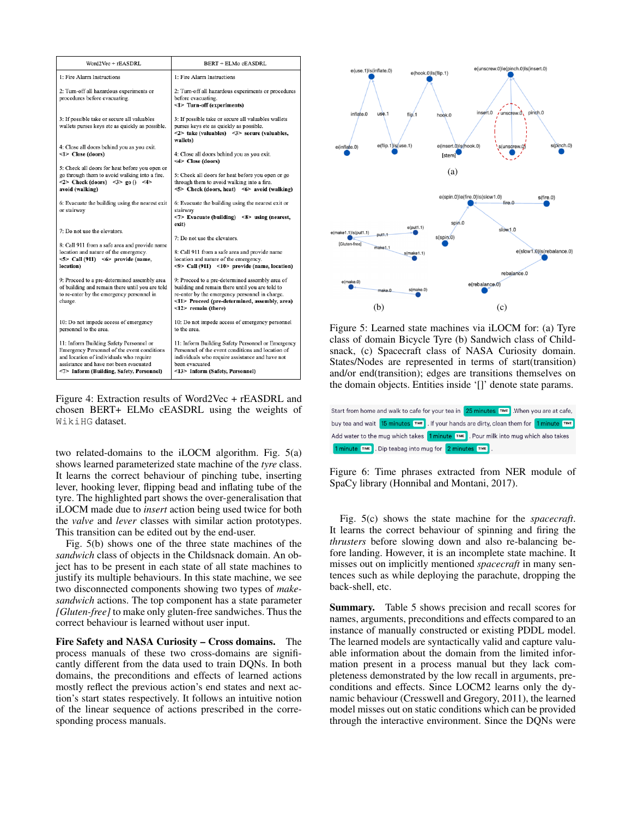| Word2Vec + rEASDRL                                                                                                                                                                                                      | <b>BERT + ELMo cEASDRL</b>                                                                                                                                                                                                   |
|-------------------------------------------------------------------------------------------------------------------------------------------------------------------------------------------------------------------------|------------------------------------------------------------------------------------------------------------------------------------------------------------------------------------------------------------------------------|
| 1: Fire Alarm Instructions                                                                                                                                                                                              | 1: Fire Alarm Instructions                                                                                                                                                                                                   |
| 2: Turn-off all hazardous experiments or<br>procedures before evacuating.                                                                                                                                               | 2: Turn-off all hazardous experiments or procedures<br>before evacuating.<br><1> Turn-off (experiments)                                                                                                                      |
| 3: If possible take or secure all valuables<br>wallets purses keys etc as quickly as possible.                                                                                                                          | 3: If possible take or secure all valuables wallets<br>purses keys etc as quickly as possible.<br>$<2>$ take (valuables) $<3>$ secure (valuables,<br>wallets)                                                                |
| 4: Close all doors behind you as you exit.<br><1> Close (doors)                                                                                                                                                         | 4: Close all doors behind you as you exit.<br><4> Close (doors)                                                                                                                                                              |
| 5: Check all doors for heat before you open or<br>go through them to avoid walking into a fire.<br>$<2>$ Check (doors) $<3>$ go () $<4>$<br>avoid (walking)                                                             | 5: Check all doors for heat before you open or go<br>through them to avoid walking into a fire.<br>$5$ > Check (doors, heat) $5$ avoid (walking)                                                                             |
| 6: Evacuate the building using the nearest exit<br>or stairway                                                                                                                                                          | 6: Evacuate the building using the nearest exit or<br>stairway<br>$< 7 >$ Evacuate (building) $< 8 >$ using (nearest,<br>exit)                                                                                               |
| 7: Do not use the elevators.                                                                                                                                                                                            | 7: Do not use the elevators.                                                                                                                                                                                                 |
| 8: Call 911 from a safe area and provide name<br>location and nature of the emergency.<br>$5$ > Call (911) $5$ provide (name,<br>location)                                                                              | 8: Call 911 from a safe area and provide name<br>location and nature of the emergency.<br>$\langle 9 \rangle$ Call (911) $\langle 10 \rangle$ provide (name, location)                                                       |
| 9: Proceed to a pre-determined assembly area<br>of building and remain there until you are told<br>to re-enter by the emergency personnel in<br>charge.                                                                 | 9: Proceed to a pre-determined assembly area of<br>building and remain there until you are told to<br>re-enter by the emergency personnel in charge.<br><11> Proceed (pre-determined, assembly, area)<br><12> remain (there) |
| 10: Do not impede access of emergency<br>personnel to the area.                                                                                                                                                         | 10: Do not impede access of emergency personnel<br>to the area.                                                                                                                                                              |
| 11: Inform Building Safety Personnel or<br>Emergency Personnel of the event conditions<br>and location of individuals who require<br>assistance and have not been evacuated<br><7> Inform (Building, Safety, Personnel) | 11: Inform Building Safety Personnel or Emergency<br>Personnel of the event conditions and location of<br>individuals who require assistance and have not<br>been evacuated<br><13> Inform (Safety, Personnel)               |

Figure 4: Extraction results of Word2Vec + rEASDRL and chosen BERT+ ELMo cEASDRL using the weights of WikiHG dataset.

two related-domains to the iLOCM algorithm. Fig. 5(a) shows learned parameterized state machine of the *tyre* class. It learns the correct behaviour of pinching tube, inserting lever, hooking lever, flipping bead and inflating tube of the tyre. The highlighted part shows the over-generalisation that iLOCM made due to *insert* action being used twice for both the *valve* and *lever* classes with similar action prototypes. This transition can be edited out by the end-user.

Fig. 5(b) shows one of the three state machines of the *sandwich* class of objects in the Childsnack domain. An object has to be present in each state of all state machines to justify its multiple behaviours. In this state machine, we see two disconnected components showing two types of *makesandwich* actions. The top component has a state parameter *[Gluten-free]* to make only gluten-free sandwiches. Thus the correct behaviour is learned without user input.

Fire Safety and NASA Curiosity – Cross domains. The process manuals of these two cross-domains are significantly different from the data used to train DQNs. In both domains, the preconditions and effects of learned actions mostly reflect the previous action's end states and next action's start states respectively. It follows an intuitive notion of the linear sequence of actions prescribed in the corresponding process manuals.



Figure 5: Learned state machines via iLOCM for: (a) Tyre class of domain Bicycle Tyre (b) Sandwich class of Childsnack, (c) Spacecraft class of NASA Curiosity domain. States/Nodes are represented in terms of start(transition) and/or end(transition); edges are transitions themselves on the domain objects. Entities inside '[]' denote state params.

| Start from home and walk to cafe for your tea in 25 minutes [TIME]. When you are at cafe,                          |  |  |  |
|--------------------------------------------------------------------------------------------------------------------|--|--|--|
| buy tea and wait <mark>15 minutes TIME</mark> . If your hands are dirty, clean them for <mark>1 minute TIME</mark> |  |  |  |
| Add water to the mug which takes 1 minute I™ Pour milk into mug which also takes                                   |  |  |  |
| 1 minute TIME . Dip teabag into mug for 2 minutes TIME .                                                           |  |  |  |

Figure 6: Time phrases extracted from NER module of SpaCy library (Honnibal and Montani, 2017).

Fig. 5(c) shows the state machine for the *spacecraft*. It learns the correct behaviour of spinning and firing the *thrusters* before slowing down and also re-balancing before landing. However, it is an incomplete state machine. It misses out on implicitly mentioned *spacecraft* in many sentences such as while deploying the parachute, dropping the back-shell, etc.

Summary. Table 5 shows precision and recall scores for names, arguments, preconditions and effects compared to an instance of manually constructed or existing PDDL model. The learned models are syntactically valid and capture valuable information about the domain from the limited information present in a process manual but they lack completeness demonstrated by the low recall in arguments, preconditions and effects. Since LOCM2 learns only the dynamic behaviour (Cresswell and Gregory, 2011), the learned model misses out on static conditions which can be provided through the interactive environment. Since the DQNs were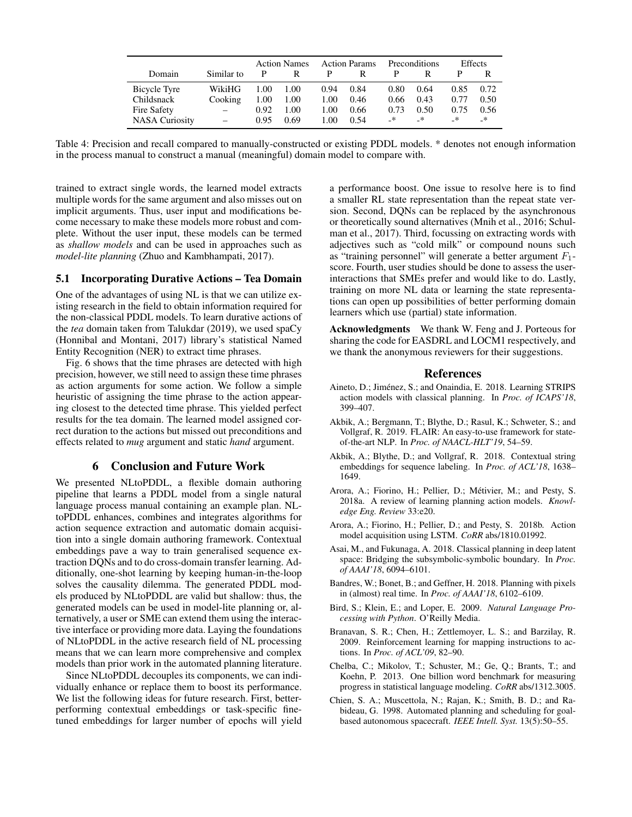|                       |            | <b>Action Names</b> |      | <b>Action Params</b> |      | <b>Preconditions</b> |      | <b>Effects</b> |         |
|-----------------------|------------|---------------------|------|----------------------|------|----------------------|------|----------------|---------|
| Domain                | Similar to | P                   | R    | P                    | R    |                      |      |                |         |
| Bicycle Tyre          | WikiHG     | 1.00                | 1.00 | 0.94                 | 0.84 | 0.80                 | 0.64 | 0.85           | 0.72    |
| Childsnack            | Cooking    | 1.00                | 1.00 | 1.00                 | 0.46 | 0.66                 | 0.43 | 0.77           | 0.50    |
| Fire Safety           | $\equiv$   | 0.92                | 1.00 | 1.00                 | 0.66 | 0.73                 | 0.50 | 0.75           | 0.56    |
| <b>NASA Curiosity</b> |            | 0.95                | 0.69 | 1.00                 | 0.54 | $\rightarrow$        | _*   | $\cdot$        | $\cdot$ |

Table 4: Precision and recall compared to manually-constructed or existing PDDL models. \* denotes not enough information in the process manual to construct a manual (meaningful) domain model to compare with.

trained to extract single words, the learned model extracts multiple words for the same argument and also misses out on implicit arguments. Thus, user input and modifications become necessary to make these models more robust and complete. Without the user input, these models can be termed as *shallow models* and can be used in approaches such as *model-lite planning* (Zhuo and Kambhampati, 2017).

#### 5.1 Incorporating Durative Actions – Tea Domain

One of the advantages of using NL is that we can utilize existing research in the field to obtain information required for the non-classical PDDL models. To learn durative actions of the *tea* domain taken from Talukdar (2019), we used spaCy (Honnibal and Montani, 2017) library's statistical Named Entity Recognition (NER) to extract time phrases.

Fig. 6 shows that the time phrases are detected with high precision, however, we still need to assign these time phrases as action arguments for some action. We follow a simple heuristic of assigning the time phrase to the action appearing closest to the detected time phrase. This yielded perfect results for the tea domain. The learned model assigned correct duration to the actions but missed out preconditions and effects related to *mug* argument and static *hand* argument.

### 6 Conclusion and Future Work

We presented NLtoPDDL, a flexible domain authoring pipeline that learns a PDDL model from a single natural language process manual containing an example plan. NLtoPDDL enhances, combines and integrates algorithms for action sequence extraction and automatic domain acquisition into a single domain authoring framework. Contextual embeddings pave a way to train generalised sequence extraction DQNs and to do cross-domain transfer learning. Additionally, one-shot learning by keeping human-in-the-loop solves the causality dilemma. The generated PDDL models produced by NLtoPDDL are valid but shallow: thus, the generated models can be used in model-lite planning or, alternatively, a user or SME can extend them using the interactive interface or providing more data. Laying the foundations of NLtoPDDL in the active research field of NL processing means that we can learn more comprehensive and complex models than prior work in the automated planning literature.

Since NLtoPDDL decouples its components, we can individually enhance or replace them to boost its performance. We list the following ideas for future research. First, betterperforming contextual embeddings or task-specific finetuned embeddings for larger number of epochs will yield a performance boost. One issue to resolve here is to find a smaller RL state representation than the repeat state version. Second, DQNs can be replaced by the asynchronous or theoretically sound alternatives (Mnih et al., 2016; Schulman et al., 2017). Third, focussing on extracting words with adjectives such as "cold milk" or compound nouns such as "training personnel" will generate a better argument  $F_1$ score. Fourth, user studies should be done to assess the userinteractions that SMEs prefer and would like to do. Lastly, training on more NL data or learning the state representations can open up possibilities of better performing domain learners which use (partial) state information.

Acknowledgments We thank W. Feng and J. Porteous for sharing the code for EASDRL and LOCM1 respectively, and we thank the anonymous reviewers for their suggestions.

#### References

- Aineto, D.; Jiménez, S.; and Onaindia, E. 2018. Learning STRIPS action models with classical planning. In *Proc. of ICAPS'18*, 399–407.
- Akbik, A.; Bergmann, T.; Blythe, D.; Rasul, K.; Schweter, S.; and Vollgraf, R. 2019. FLAIR: An easy-to-use framework for stateof-the-art NLP. In *Proc. of NAACL-HLT'19*, 54–59.
- Akbik, A.; Blythe, D.; and Vollgraf, R. 2018. Contextual string embeddings for sequence labeling. In *Proc. of ACL'18*, 1638– 1649.
- Arora, A.; Fiorino, H.; Pellier, D.; Métivier, M.; and Pesty, S. 2018a. A review of learning planning action models. *Knowledge Eng. Review* 33:e20.
- Arora, A.; Fiorino, H.; Pellier, D.; and Pesty, S. 2018b. Action model acquisition using LSTM. *CoRR* abs/1810.01992.
- Asai, M., and Fukunaga, A. 2018. Classical planning in deep latent space: Bridging the subsymbolic-symbolic boundary. In *Proc. of AAAI'18*, 6094–6101.
- Bandres, W.; Bonet, B.; and Geffner, H. 2018. Planning with pixels in (almost) real time. In *Proc. of AAAI'18*, 6102–6109.
- Bird, S.; Klein, E.; and Loper, E. 2009. *Natural Language Processing with Python*. O'Reilly Media.
- Branavan, S. R.; Chen, H.; Zettlemoyer, L. S.; and Barzilay, R. 2009. Reinforcement learning for mapping instructions to actions. In *Proc. of ACL'09*, 82–90.
- Chelba, C.; Mikolov, T.; Schuster, M.; Ge, Q.; Brants, T.; and Koehn, P. 2013. One billion word benchmark for measuring progress in statistical language modeling. *CoRR* abs/1312.3005.
- Chien, S. A.; Muscettola, N.; Rajan, K.; Smith, B. D.; and Rabideau, G. 1998. Automated planning and scheduling for goalbased autonomous spacecraft. *IEEE Intell. Syst.* 13(5):50–55.